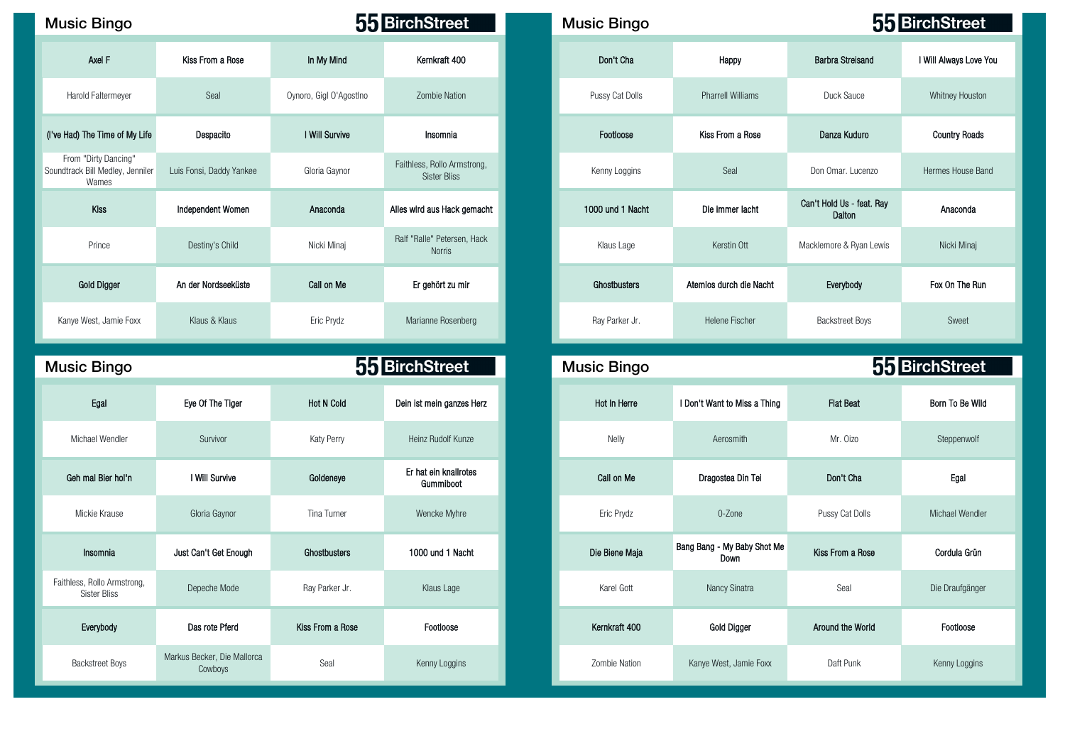## Music Bingo **Music Bingo Music Bingo Music Bingo Music Bingo Music Bingo Music Bingo**

| Axel F                                                            | Kiss From a Rose         | In My Mind              | Kernkraft 400                               | Don't Cha        | Happy                    | <b>Barbra Streisand</b>             | I Will Always Love     |
|-------------------------------------------------------------------|--------------------------|-------------------------|---------------------------------------------|------------------|--------------------------|-------------------------------------|------------------------|
| Harold Faltermeyer                                                | Seal                     | Oynoro, Gigl O'Agostlno | <b>Zombie Nation</b>                        | Pussy Cat Dolls  | <b>Pharrell Williams</b> | Duck Sauce                          | <b>Whitney Houston</b> |
| (I've Had) The Time of My Life                                    | Despacito                | I Will Survive          | Insomnia                                    | Footloose        | Kiss From a Rose         | Danza Kuduro                        | <b>Country Roads</b>   |
| From "Dirty Dancing"<br>Soundtrack Bill Medley, Jenniler<br>Wames | Luis Fonsi, Daddy Yankee | Gloria Gaynor           | Faithless, Rollo Armstrong,<br>Sister Bliss | Kenny Loggins    | Seal                     | Don Omar. Lucenzo                   | Hermes House Bar       |
| Kiss                                                              | Independent Women        | Anaconda                | Alles wird aus Hack gemacht                 | 1000 und 1 Nacht | Die immer lacht          | Can't Hold Us - feat. Ray<br>Dalton | Anaconda               |
| Prince                                                            | Destiny's Child          | Nicki Minaj             | Ralf "Ralle" Petersen, Hack<br>Norris       | Klaus Lage       | Kerstin Ott              | Macklemore & Ryan Lewis             | Nicki Minaj            |
| <b>Gold Digger</b>                                                | An der Nordseeküste      | Call on Me              | Er gehört zu mir                            | Ghostbusters     | Atemios durch die Nacht  | Everybody                           | Fox On The Run         |
| Kanye West, Jamie Foxx                                            | Klaus & Klaus            | Eric Prydz              | Marianne Rosenberg                          | Ray Parker Jr.   | Helene Fischer           | <b>Backstreet Boys</b>              | Sweet                  |

| <b>Music Bingo</b>                          |                                        |                   | 55 BirchStreet                     | <b>Music Bingo</b> |                                     |                  | 55 BirchStree |
|---------------------------------------------|----------------------------------------|-------------------|------------------------------------|--------------------|-------------------------------------|------------------|---------------|
| Egal                                        | Eye Of The Tiger                       | <b>Hot N Cold</b> | Dein ist mein ganzes Herz          | Hot In Herre       | I Don't Want to Miss a Thing        | <b>Flat Beat</b> | Born To Be W  |
| Michael Wendler                             | Survivor                               | Katy Perry        | Heinz Rudolf Kunze                 | Nelly              | Aerosmith                           | Mr. Oizo         | Steppenwolf   |
| Geh mal Bier hol'n                          | I Will Survive                         | Goldeneye         | Er hat ein knallrotes<br>Gummiboot | Call on Me         | Dragostea Din Tei                   | Don't Cha        | Egal          |
| Mickie Krause                               | Gloria Gaynor                          | Tina Turner       | Wencke Myhre                       | Eric Prydz         | 0-Zone                              | Pussy Cat Dolls  | Michael Wend  |
| Insomnia                                    | Just Can't Get Enough                  | Ghostbusters      | 1000 und 1 Nacht                   | Die Biene Maja     | Bang Bang - My Baby Shot Me<br>Down | Kiss From a Rose | Cordula Grü   |
| Faithless, Rollo Armstrong,<br>Sister Bliss | Depeche Mode                           | Ray Parker Jr.    | Klaus Lage                         | Karel Gott         | Nancy Sinatra                       | Seal             | Die Draufgäng |
| Everybody                                   | Das rote Pferd                         | Kiss From a Rose  | Footloose                          | Kernkraft 400      | Gold Digger                         | Around the World | Footloose     |
| <b>Backstreet Boys</b>                      | Markus Becker, Die Mallorca<br>Cowboys | Seal              | Kenny Loggins                      | Zombie Nation      | Kanye West, Jamie Foxx              | Daft Punk        | Kenny Loggin  |

| c Bingo                                             |                          | 55 BirchStreet          |                                                    | <b>Music Bingo</b> |                          | 55 BirchStreet                      |                        |  |
|-----------------------------------------------------|--------------------------|-------------------------|----------------------------------------------------|--------------------|--------------------------|-------------------------------------|------------------------|--|
| Axel F                                              | Kiss From a Rose         | In My Mind              | Kernkraft 400                                      | Don't Cha          | Happy                    | <b>Barbra Streisand</b>             | I Will Always Love You |  |
| old Faltermeyer                                     | Seal                     | Oynoro, Gigl O'AgostIno | Zombie Nation                                      | Pussy Cat Dolls    | <b>Pharrell Williams</b> | Duck Sauce                          | Whitney Houston        |  |
| The Time of My Life                                 | Despacito                | I Will Survive          | Insomnia                                           | Footloose          | Kiss From a Rose         | Danza Kuduro                        | <b>Country Roads</b>   |  |
| "Dirty Dancing"<br>k Bill Medley, Jenniler<br>Wames | Luis Fonsi, Daddy Yankee | Gloria Gaynor           | Faithless, Rollo Armstrong,<br><b>Sister Bliss</b> | Kenny Loggins      | Seal                     | Don Omar. Lucenzo                   | Hermes House Band      |  |
| Kiss                                                | Independent Women        | Anaconda                | Alles wird aus Hack gemacht                        | 1000 und 1 Nacht   | Die immer lacht          | Can't Hold Us - feat. Ray<br>Dalton | Anaconda               |  |
| Prince                                              | Destiny's Child          | Nicki Minaj             | Ralf "Ralle" Petersen, Hack<br><b>Norris</b>       | Klaus Lage         | Kerstin Ott              | Macklemore & Ryan Lewis             | Nicki Minaj            |  |
| Gold Digger                                         | An der Nordseeküste      | Call on Me              | Er gehört zu mir                                   | Ghostbusters       | Atemios durch die Nacht  | Everybody                           | Fox On The Run         |  |
| West, Jamie Foxx                                    | Klaus & Klaus            | Eric Prydz              | Marianne Rosenberg                                 | Ray Parker Jr.     | <b>Helene Fischer</b>    | <b>Backstreet Boys</b>              | Sweet                  |  |

| ic Bingo                             |                                        |                   | 55 BirchStreet                     |
|--------------------------------------|----------------------------------------|-------------------|------------------------------------|
| Egal                                 | Eye Of The Tiger                       | <b>Hot N Cold</b> | Dein ist mein ganzes Herz          |
| lichael Wendler                      | Survivor                               | Katy Perry        | Heinz Rudolf Kunze                 |
| h mal Bier hol'n                     | I Will Survive                         | Goldeneye         | Er hat ein knallrotes<br>Gummiboot |
| Mickie Krause                        | Gloria Gaynor                          | Tina Turner       | Wencke Myhre                       |
| Insomnia                             | Just Can't Get Enough                  | Ghostbusters      | 1000 und 1 Nacht                   |
| ss, Rollo Armstrong,<br>Sister Bliss | Depeche Mode                           | Ray Parker Jr.    | Klaus Lage                         |
| Everybody                            | Das rote Pferd                         | Kiss From a Rose  | Footloose                          |
| <b>Backstreet Boys</b>               | Markus Becker, Die Mallorca<br>Cowboys | Seal              | Kenny Loggins                      |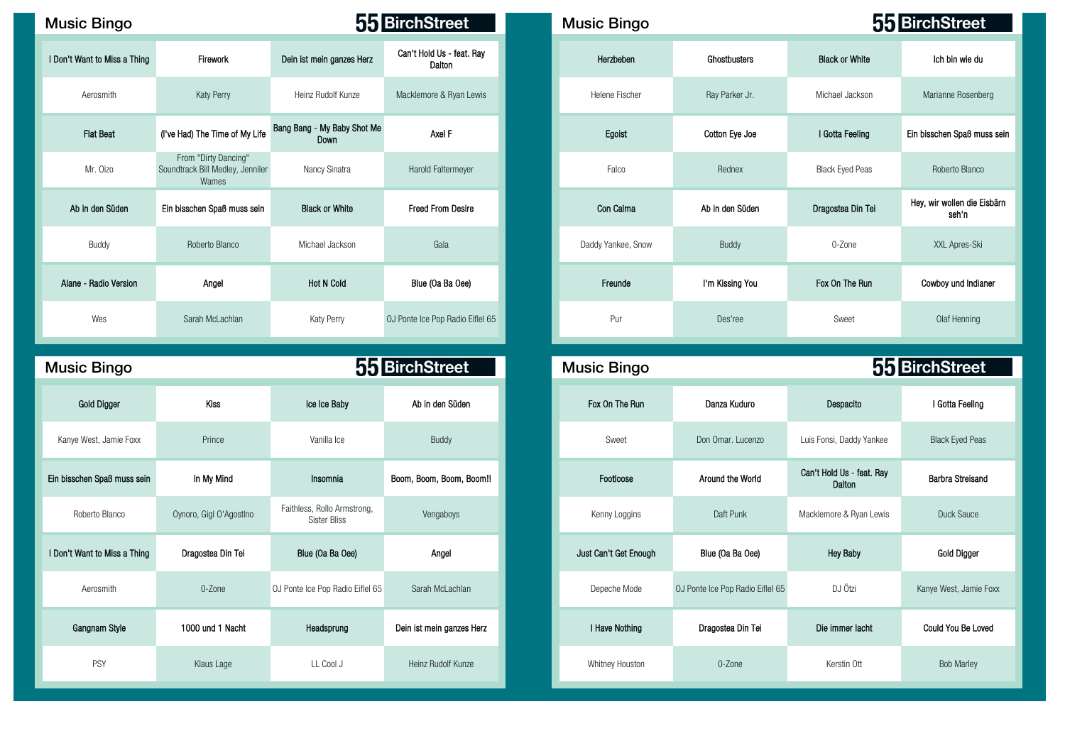| <b>Music Bingo</b>           |                                                                   |                                     | 55 BirchStreet                      | <b>Music Bingo</b> |                 |                        | 55 BirchStreet                    |
|------------------------------|-------------------------------------------------------------------|-------------------------------------|-------------------------------------|--------------------|-----------------|------------------------|-----------------------------------|
| I Don't Want to Miss a Thing | Firework                                                          | Dein ist mein ganzes Herz           | Can't Hold Us - feat. Ray<br>Dalton | Herzbeben          | Ghostbusters    | <b>Black or White</b>  | Ich bin wie du                    |
| Aerosmith                    | Katy Perry                                                        | Heinz Rudolf Kunze                  | Macklemore & Ryan Lewis             | Helene Fischer     | Ray Parker Jr.  | Michael Jackson        | Marianne Rosenberg                |
| <b>Flat Beat</b>             | (I've Had) The Time of My Life                                    | Bang Bang - My Baby Shot Me<br>Down | Axel F                              | Egoist             | Cotton Eye Joe  | I Gotta Feeling        | Ein bisschen Spaß muss            |
| Mr. Oizo                     | From "Dirty Dancing"<br>Soundtrack Bill Medley, Jenniler<br>Wames | Nancy Sinatra                       | Harold Faltermeyer                  | Falco              | Rednex          | <b>Black Eyed Peas</b> | Roberto Blanco                    |
| Ab in den Süden              | Ein bisschen Spaß muss sein                                       | <b>Black or White</b>               | <b>Freed From Desire</b>            | Con Calma          | Ab in den Süden | Dragostea Din Tei      | Hey, wir wollen die Eisb<br>seh n |
| Buddy                        | Roberto Blanco                                                    | Michael Jackson                     | Gala                                | Daddy Yankee, Snow | Buddy           | 0-Zone                 | XXL Apres-Ski                     |
| Alane - Radio Version        | Angel                                                             | <b>Hot N Cold</b>                   | Blue (Oa Ba Oee)                    | Freunde            | I'm Kissing You | Fox On The Run         | Cowboy und Indianer               |
| Wes                          | Sarah McLachlan                                                   | Katy Perry                          | OJ Ponte Ice Pop Radio Eiflel 65    | Pur                | Des'ree         | Sweet                  | Olaf Henning                      |

| <b>Music Bingo</b>           |                         |                                                    | 55 BirchStreet            | <b>Music Bingo</b>    |                                  |                                     | 55 BirchStreet          |
|------------------------------|-------------------------|----------------------------------------------------|---------------------------|-----------------------|----------------------------------|-------------------------------------|-------------------------|
| <b>Gold Digger</b>           | <b>Kiss</b>             | Ice Ice Baby                                       | Ab in den Süden           | Fox On The Run        | Danza Kuduro                     | Despacito                           | I Gotta Feeling         |
| Kanye West, Jamie Foxx       | Prince                  | Vanilla Ice                                        | Buddy                     | Sweet                 | Don Omar, Lucenzo                | Luis Fonsi, Daddy Yankee            | <b>Black Eyed Peas</b>  |
| Ein bisschen Spaß muss sein  | In My Mind              | Insomnia                                           | Boom, Boom, Boom, Boom!!  | Footloose             | Around the World                 | Can't Hold Us - feat. Ray<br>Dalton | <b>Barbra Streisano</b> |
| Roberto Blanco               | Oynoro, Gigl O'AgostIno | Faithless, Rollo Armstrong,<br><b>Sister Bliss</b> | Vengaboys                 | Kenny Loggins         | Daft Punk                        | Macklemore & Ryan Lewis             | Duck Sauce              |
| I Don't Want to Miss a Thing | Dragostea Din Tei       | Blue (Oa Ba Oee)                                   | Angel                     | Just Can't Get Enough | Blue (Oa Ba Oee)                 | <b>Hey Baby</b>                     | Gold Digger             |
| Aerosmith                    | 0-Zone                  | OJ Ponte Ice Pop Radio Eiflel 65                   | Sarah McLachlan           | Depeche Mode          | OJ Ponte Ice Pop Radio Eiflel 65 | DJ Ötzi                             | Kanye West, Jamie I     |
| Gangnam Style                | 1000 und 1 Nacht        | Headsprung                                         | Dein ist mein ganzes Herz | I Have Nothing        | Dragostea Din Tei                | Die immer lacht                     | Could You Be Lov        |
| PSY                          | Klaus Lage              | LL Cool J                                          | Heinz Rudolf Kunze        | Whitney Houston       | 0-Zone                           | Kerstin Ott                         | <b>Bob Marley</b>       |

| sic Bingo            |                                                                   |                                            | 55 BirchStreet                      | <b>Music Bingo</b> |                 | 55 BirchStreet        |                                      |  |  |
|----------------------|-------------------------------------------------------------------|--------------------------------------------|-------------------------------------|--------------------|-----------------|-----------------------|--------------------------------------|--|--|
| Want to Miss a Thing | Firework                                                          | Dein ist mein ganzes Herz                  | Can't Hold Us - feat. Ray<br>Dalton | Herzbeben          | Ghostbusters    | <b>Black or White</b> | Ich bin wie du                       |  |  |
| Aerosmith            | Katy Perry                                                        | Heinz Rudolf Kunze                         | Macklemore & Ryan Lewis             | Helene Fischer     | Ray Parker Jr.  | Michael Jackson       | Marianne Rosenberg                   |  |  |
| <b>Flat Beat</b>     | (I've Had) The Time of My Life                                    | Bang Bang - My Baby Shot Me<br><b>Down</b> | Axel F                              | Egoist             | Cotton Eye Joe  | I Gotta Feeling       | Ein bisschen Spaß muss sein          |  |  |
| Mr. Oizo             | From "Dirty Dancing"<br>Soundtrack Bill Medley, Jenniler<br>Wames | Nancy Sinatra                              | Harold Faltermeyer                  | Falco              | Rednex          | Black Eyed Peas       | Roberto Blanco                       |  |  |
| Ab in den Süden      | Ein bisschen Spaß muss sein                                       | <b>Black or White</b>                      | <b>Freed From Desire</b>            | Con Calma          | Ab in den Süden | Dragostea Din Tei     | Hey, wir wollen die Eisbärn<br>seh'n |  |  |
| Buddy                | Roberto Blanco                                                    | Michael Jackson                            | Gala                                | Daddy Yankee, Snow | Buddy           | 0-Zone                | XXL Apres-Ski                        |  |  |
| ane - Radio Version  | Angel                                                             | <b>Hot N Cold</b>                          | Blue (Oa Ba Oee)                    | Freunde            | I'm Kissing You | Fox On The Run        | Cowboy und Indianer                  |  |  |
| Wes                  | Sarah McLachlan                                                   | Katy Perry                                 | OJ Ponte Ice Pop Radio Eiflel 65    | Pur                | Des'ree         | Sweet                 | Olaf Henning                         |  |  |

| ic Bingo             |                         |                                                    | 55 BirchStreet            | <b>Music Bingo</b>    |                                  |                                     | 55 BirchStreet         |
|----------------------|-------------------------|----------------------------------------------------|---------------------------|-----------------------|----------------------------------|-------------------------------------|------------------------|
| <b>Gold Digger</b>   | Kiss                    | Ice Ice Baby                                       | Ab in den Süden           | Fox On The Run        | Danza Kuduro                     | Despacito                           | I Gotta Feeling        |
| e West, Jamie Foxx   | Prince                  | Vanilla Ice                                        | Buddy                     | Sweet                 | Don Omar. Lucenzo                | Luis Fonsi, Daddy Yankee            | <b>Black Eyed Peas</b> |
| schen Spaß muss sein | In My Mind              | Insomnia                                           | Boom, Boom, Boom, Boom!!  | Footloose             | Around the World                 | Can't Hold Us - feat. Ray<br>Dalton | Barbra Streisand       |
| Roberto Blanco       | Oynoro, Gigl O'Agostino | Faithless, Rollo Armstrong,<br><b>Sister Bliss</b> | Vengaboys                 | Kenny Loggins         | Daft Punk                        | Macklemore & Ryan Lewis             | Duck Sauce             |
| Want to Miss a Thing | Dragostea Din Tei       | Blue (Oa Ba Oee)                                   | Angel                     | Just Can't Get Enough | Blue (Oa Ba Oee)                 | <b>Hey Baby</b>                     | Gold Digger            |
| Aerosmith            | 0-Zone                  | OJ Ponte Ice Pop Radio Eiflel 65                   | Sarah McLachlan           | Depeche Mode          | OJ Ponte Ice Pop Radio Eiflel 65 | DJ Ötzi                             | Kanye West, Jamie Foxx |
| Gangnam Style        | 1000 und 1 Nacht        | Headsprung                                         | Dein ist mein ganzes Herz | I Have Nothing        | Dragostea Din Tei                | Die immer lacht                     | Could You Be Loved     |
| PSY                  | Klaus Lage              | LL Cool J                                          | Heinz Rudolf Kunze        | Whitney Houston       | 0-Zone                           | Kerstin Ott                         | <b>Bob Marley</b>      |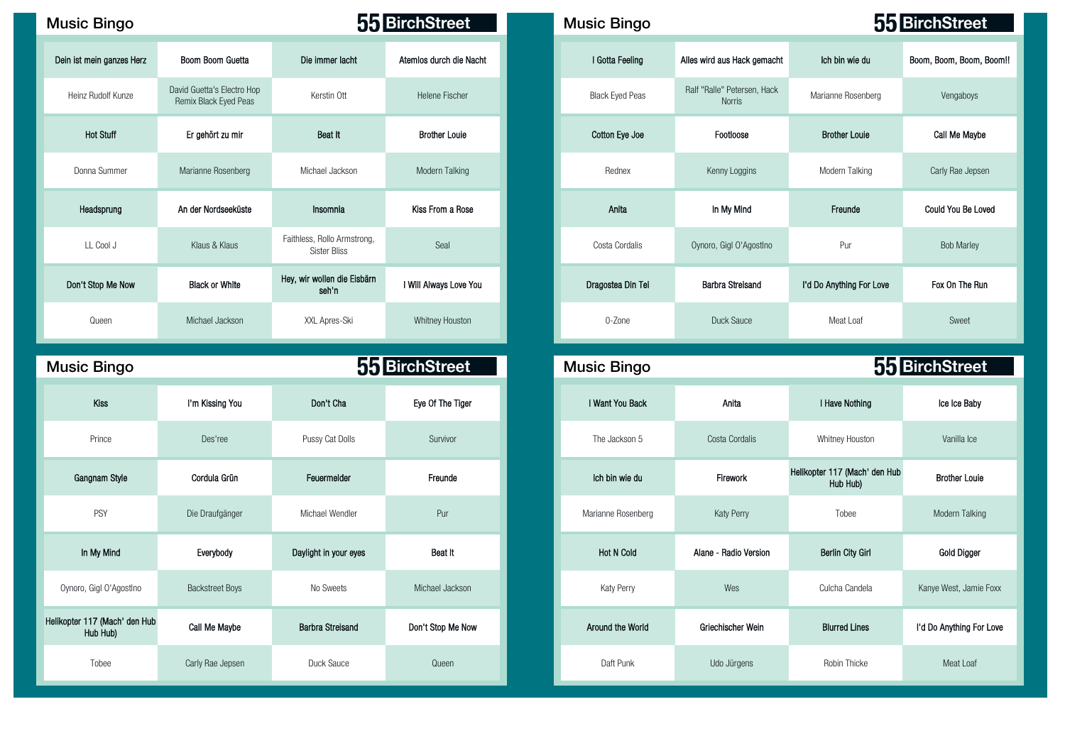| <b>Music Bingo</b>        |                                                     |                                                    | 55 BirchStreet          | <b>Music Bingo</b>     |                                              |
|---------------------------|-----------------------------------------------------|----------------------------------------------------|-------------------------|------------------------|----------------------------------------------|
| Dein ist mein ganzes Herz | Boom Boom Guetta                                    | Die immer lacht                                    | Atemios durch die Nacht | I Gotta Feeling        | Alles wird aus Hack gemach                   |
| Heinz Rudolf Kunze        | David Guetta's Electro Hop<br>Remix Black Eyed Peas | Kerstin Ott                                        | Helene Fischer          | <b>Black Eyed Peas</b> | Ralf "Ralle" Petersen, Hack<br><b>Norris</b> |
| <b>Hot Stuff</b>          | Er gehört zu mir                                    | Beat It                                            | <b>Brother Louie</b>    | Cotton Eye Joe         | Footloose                                    |
| Donna Summer              | Marianne Rosenberg                                  | Michael Jackson                                    | Modern Talking          | Rednex                 | Kenny Loggins                                |
| Headsprung                | An der Nordseeküste                                 | Insomnia                                           | Kiss From a Rose        | Anita                  | In My Mind                                   |
| LL Cool J                 | Klaus & Klaus                                       | Faithless, Rollo Armstrong,<br><b>Sister Bliss</b> | Seal                    | Costa Cordalis         | Oynoro, Gigl O'Agostino                      |
| Don't Stop Me Now         | <b>Black or White</b>                               | Hey, wir wollen die Eisbärn<br>seh'n               | I Will Always Love You  | Dragostea Din Tei      | <b>Barbra Streisand</b>                      |
| Queen                     | Michael Jackson                                     | XXL Apres-Ski                                      | Whitney Houston         | $0 - Z$ one            | Duck Sauce                                   |

| <b>Music Bingo</b>                        |                        |                         | 55 BirchStreet    | <b>Music Bingo</b> |                       |                                           | 55 BirchStreet          |
|-------------------------------------------|------------------------|-------------------------|-------------------|--------------------|-----------------------|-------------------------------------------|-------------------------|
| Kiss                                      | I'm Kissing You        | Don't Cha               | Eye Of The Tiger  | I Want You Back    | Anita                 | I Have Nothing                            | Ice Ice Baby            |
| Prince                                    | Des'ree                | Pussy Cat Dolls         | Survivor          | The Jackson 5      | Costa Cordalis        | Whitney Houston                           | Vanilla Ice             |
| Gangnam Style                             | Cordula Grün           | Feuermelder             | Freunde           | Ich bin wie du     | Firework              | Helikopter 117 (Mach' den Hub<br>Hub Hub) | <b>Brother Louie</b>    |
| PSY                                       | Die Draufgänger        | Michael Wendler         | Pur               | Marianne Rosenberg | Katy Perry            | Tobee                                     | Modern Talking          |
| In My Mind                                | Everybody              | Daylight in your eyes   | Beat It           | <b>Hot N Cold</b>  | Alane - Radio Version | <b>Berlin City Girl</b>                   | Gold Digger             |
| Oynoro, Gigl O'Agostino                   | <b>Backstreet Boys</b> | No Sweets               | Michael Jackson   | Katy Perry         | Wes                   | Culcha Candela                            | Kanye West, Jamie Foxx  |
| Helikopter 117 (Mach' den Hub<br>Hub Hub) | <b>Call Me Maybe</b>   | <b>Barbra Streisand</b> | Don't Stop Me Now | Around the World   | Griechischer Wein     | <b>Blurred Lines</b>                      | I'd Do Anything For Lov |
| Tobee                                     | Carly Rae Jepsen       | Duck Sauce              | Queen             | Daft Punk          | Udo Jürgens           | Robin Thicke                              | Meat Loaf               |

| lusic Bingo               |                                                     | 55 BirchStreet                                     |                         |  | <b>Music Bingo</b>     |                                              |                          | 55 BirchStreet           |
|---------------------------|-----------------------------------------------------|----------------------------------------------------|-------------------------|--|------------------------|----------------------------------------------|--------------------------|--------------------------|
| Dein ist mein ganzes Herz | Boom Boom Guetta                                    | Die immer lacht                                    | Atemios durch die Nacht |  | I Gotta Feeling        | Alles wird aus Hack gemacht                  | Ich bin wie du           | Boom, Boom, Boom, Boom!! |
| Heinz Rudolf Kunze        | David Guetta's Electro Hop<br>Remix Black Eyed Peas | Kerstin Ott                                        | <b>Helene Fischer</b>   |  | <b>Black Eyed Peas</b> | Ralf "Ralle" Petersen, Hack<br><b>Norris</b> | Marianne Rosenberg       | Vengaboys                |
| <b>Hot Stuff</b>          | Er gehört zu mir                                    | Beat It                                            | <b>Brother Louie</b>    |  | Cotton Eye Joe         | Footloose                                    | <b>Brother Louie</b>     | Call Me Maybe            |
| Donna Summer              | Marianne Rosenberg                                  | Michael Jackson                                    | Modern Talking          |  | Rednex                 | Kenny Loggins                                | Modern Talking           | Carly Rae Jepsen         |
| Headsprung                | An der Nordseeküste                                 | Insomnia                                           | Kiss From a Rose        |  | Anita                  | In My Mind                                   | Freunde                  | Could You Be Loved       |
| LL Cool J                 | Klaus & Klaus                                       | Faithless, Rollo Armstrong,<br><b>Sister Bliss</b> | Seal                    |  | Costa Cordalis         | Oynoro, Gigl O'Agostino                      | Pur                      | <b>Bob Marley</b>        |
| Don't Stop Me Now         | <b>Black or White</b>                               | Hey, wir wollen die Eisbärn<br>seh'n               | I Will Always Love You  |  | Dragostea Din Tei      | <b>Barbra Streisand</b>                      | I'd Do Anything For Love | Fox On The Run           |
| Queen                     | Michael Jackson                                     | XXL Apres-Ski                                      | Whitney Houston         |  | 0-Zone                 | Duck Sauce                                   | Meat Loaf                | Sweet                    |

| <b>Bingo</b>                   |                        |                         | 55 BirchStreet    | <b>Music Bingo</b> |                       |                                           | 55 BirchStreet           |
|--------------------------------|------------------------|-------------------------|-------------------|--------------------|-----------------------|-------------------------------------------|--------------------------|
| Kiss                           | I'm Kissing You        | Don't Cha               | Eye Of The Tiger  | I Want You Back    | Anita                 | I Have Nothing                            | Ice Ice Baby             |
| Prince                         | Des'ree                | Pussy Cat Dolls         | Survivor          | The Jackson 5      | Costa Cordalis        | Whitney Houston                           | Vanilla Ice              |
| ngnam Style                    | Cordula Grün           | Feuermelder             | Freunde           | Ich bin wie du     | Firework              | Helikopter 117 (Mach' den Hub<br>Hub Hub) | <b>Brother Louie</b>     |
| PSY                            | Die Draufgänger        | Michael Wendler         | Pur               | Marianne Rosenberg | Katy Perry            | Tobee                                     | Modern Talking           |
| n My Mind                      | Everybody              | Daylight in your eyes   | Beat It           | <b>Hot N Cold</b>  | Alane - Radio Version | <b>Berlin City Girl</b>                   | Gold Digger              |
| Gigl O'AgostIno                | <b>Backstreet Boys</b> | No Sweets               | Michael Jackson   | Katy Perry         | Wes                   | Culcha Candela                            | Kanye West, Jamie Foxx   |
| 117 (Mach' den Hub<br>Hub Hub) | Call Me Maybe          | <b>Barbra Streisand</b> | Don't Stop Me Now | Around the World   | Griechischer Wein     | <b>Blurred Lines</b>                      | I'd Do Anything For Love |
| Tobee                          | Carly Rae Jepsen       | Duck Sauce              | Queen             | Daft Punk          | Udo Jürgens           | Robin Thicke                              | Meat Loaf                |